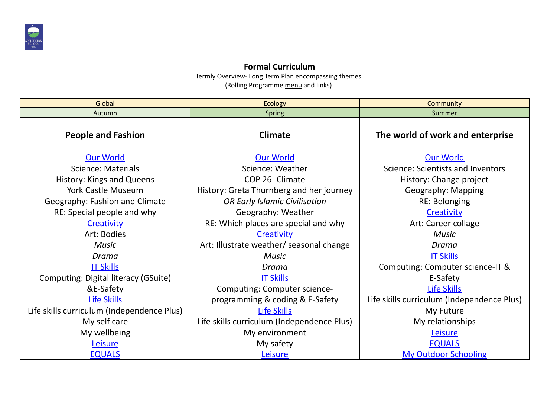

## **Formal Curriculum**

Termly Overview- Long Term Plan encompassing themes (Rolling Programme menu and links)

| Global                                     | <b>Ecology</b>                             | Community                                  |  |  |
|--------------------------------------------|--------------------------------------------|--------------------------------------------|--|--|
| Autumn                                     | <b>Spring</b>                              | Summer                                     |  |  |
| <b>People and Fashion</b>                  | <b>Climate</b>                             | The world of work and enterprise           |  |  |
| <b>Our World</b>                           | <b>Our World</b>                           | <b>Our World</b>                           |  |  |
| <b>Science: Materials</b>                  | Science: Weather                           | Science: Scientists and Inventors          |  |  |
| History: Kings and Queens                  | COP 26- Climate                            | History: Change project                    |  |  |
| <b>York Castle Museum</b>                  | History: Greta Thurnberg and her journey   | Geography: Mapping                         |  |  |
| Geography: Fashion and Climate             | <b>OR Early Islamic Civilisation</b>       | <b>RE: Belonging</b>                       |  |  |
| RE: Special people and why                 | Geography: Weather                         | Creativity                                 |  |  |
| Creativity                                 | RE: Which places are special and why       | Art: Career collage                        |  |  |
| Art: Bodies                                | Creativity                                 | <b>Music</b>                               |  |  |
| <b>Music</b>                               | Art: Illustrate weather/ seasonal change   | Drama                                      |  |  |
| Drama                                      | <b>Music</b>                               | <b>IT Skills</b>                           |  |  |
| <b>IT Skills</b>                           | Drama                                      | Computing: Computer science-IT &           |  |  |
| Computing: Digital literacy (GSuite)       | <b>IT Skills</b>                           | E-Safety                                   |  |  |
| &E-Safety                                  | Computing: Computer science-               | <b>Life Skills</b>                         |  |  |
| Life Skills                                | programming & coding & E-Safety            | Life skills curriculum (Independence Plus) |  |  |
| Life skills curriculum (Independence Plus) | <b>Life Skills</b>                         | My Future                                  |  |  |
| My self care                               | Life skills curriculum (Independence Plus) | My relationships                           |  |  |
| My wellbeing                               | My environment                             | Leisure                                    |  |  |
| Leisure                                    | My safety                                  | <b>EQUALS</b>                              |  |  |
| <b>EQUALS</b>                              | Leisure                                    | <b>My Outdoor Schooling</b>                |  |  |